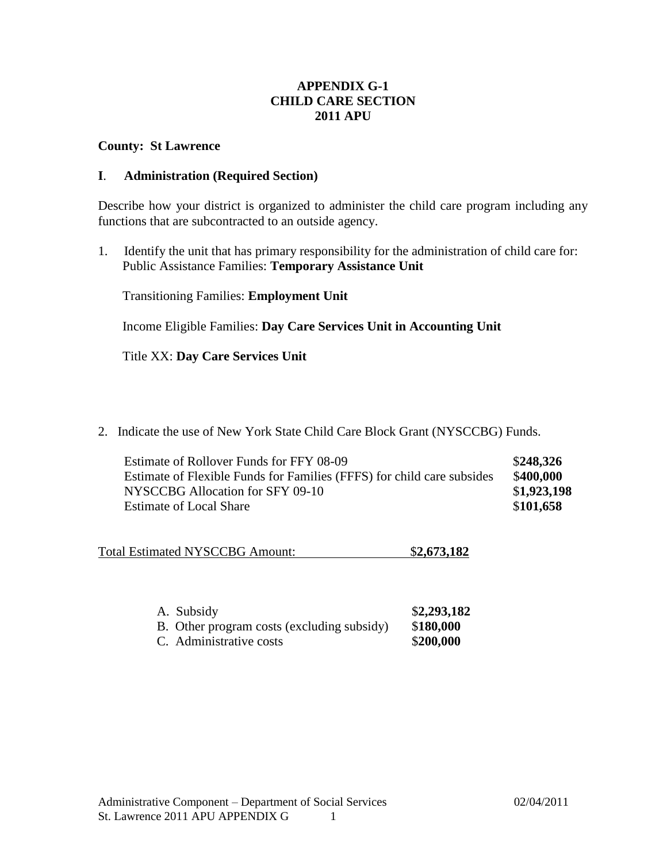# **APPENDIX G-1 CHILD CARE SECTION 2011 APU**

### **County: St Lawrence**

### **I**. **Administration (Required Section)**

Describe how your district is organized to administer the child care program including any functions that are subcontracted to an outside agency.

1. Identify the unit that has primary responsibility for the administration of child care for: Public Assistance Families: **Temporary Assistance Unit**

Transitioning Families: **Employment Unit**

Income Eligible Families: **Day Care Services Unit in Accounting Unit**

Title XX: **Day Care Services Unit**

2. Indicate the use of New York State Child Care Block Grant (NYSCCBG) Funds.

| Estimate of Rollover Funds for FFY 08-09                               | \$248,326   |
|------------------------------------------------------------------------|-------------|
| Estimate of Flexible Funds for Families (FFFS) for child care subsides | \$400,000   |
| NYSCCBG Allocation for SFY 09-10                                       | \$1,923,198 |
| <b>Estimate of Local Share</b>                                         | \$101,658   |

| <b>Total Estimated NYSCCBG Amount:</b> |  | \$2,673,182 |  |
|----------------------------------------|--|-------------|--|
|----------------------------------------|--|-------------|--|

| A. Subsidy                                 | \$2,293,182 |
|--------------------------------------------|-------------|
| B. Other program costs (excluding subsidy) | \$180,000   |
| C. Administrative costs                    | \$200,000   |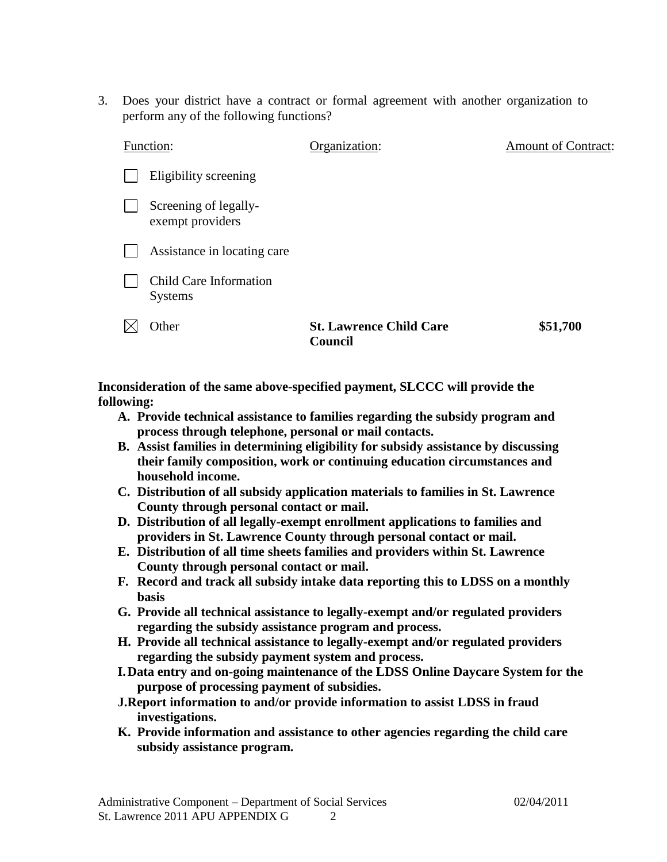3. Does your district have a contract or formal agreement with another organization to perform any of the following functions?

| Function:                                 | Organization:                             | <b>Amount of Contract:</b> |
|-------------------------------------------|-------------------------------------------|----------------------------|
| Eligibility screening                     |                                           |                            |
| Screening of legally-<br>exempt providers |                                           |                            |
| Assistance in locating care               |                                           |                            |
| Child Care Information<br><b>Systems</b>  |                                           |                            |
| Other                                     | <b>St. Lawrence Child Care</b><br>Council | \$51,700                   |

**Inconsideration of the same above-specified payment, SLCCC will provide the following:**

- **A. Provide technical assistance to families regarding the subsidy program and process through telephone, personal or mail contacts.**
- **B. Assist families in determining eligibility for subsidy assistance by discussing their family composition, work or continuing education circumstances and household income.**
- **C. Distribution of all subsidy application materials to families in St. Lawrence County through personal contact or mail.**
- **D. Distribution of all legally-exempt enrollment applications to families and providers in St. Lawrence County through personal contact or mail.**
- **E. Distribution of all time sheets families and providers within St. Lawrence County through personal contact or mail.**
- **F. Record and track all subsidy intake data reporting this to LDSS on a monthly basis**
- **G. Provide all technical assistance to legally-exempt and/or regulated providers regarding the subsidy assistance program and process.**
- **H. Provide all technical assistance to legally-exempt and/or regulated providers regarding the subsidy payment system and process.**
- **I.Data entry and on-going maintenance of the LDSS Online Daycare System for the purpose of processing payment of subsidies.**
- **J.Report information to and/or provide information to assist LDSS in fraud investigations.**
- **K. Provide information and assistance to other agencies regarding the child care subsidy assistance program.**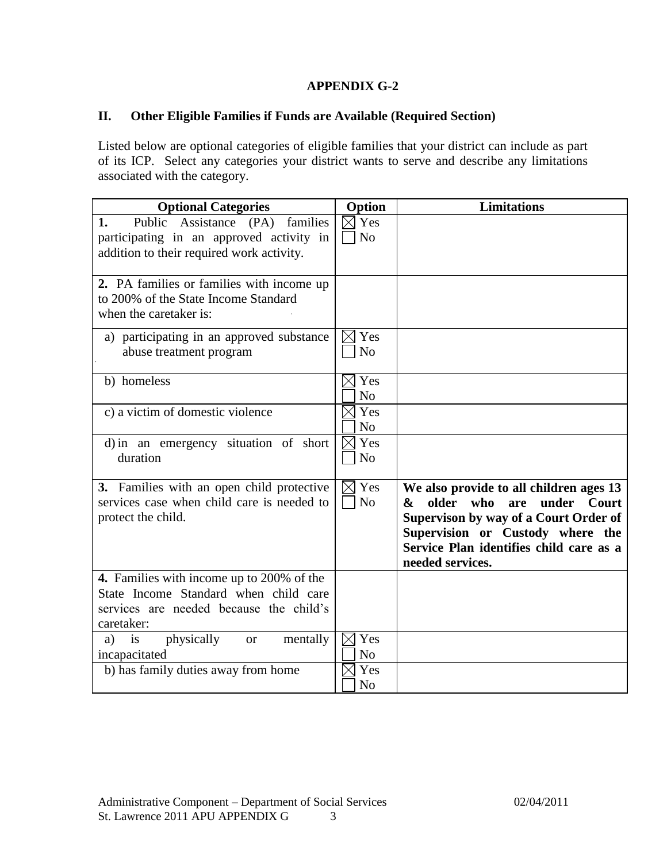# **APPENDIX G-2**

# **II. Other Eligible Families if Funds are Available (Required Section)**

Listed below are optional categories of eligible families that your district can include as part of its ICP. Select any categories your district wants to serve and describe any limitations associated with the category.

| <b>Optional Categories</b>                                                                                                                  | Option                               | <b>Limitations</b>                                                                                                                                                                                                                |
|---------------------------------------------------------------------------------------------------------------------------------------------|--------------------------------------|-----------------------------------------------------------------------------------------------------------------------------------------------------------------------------------------------------------------------------------|
| Public Assistance (PA)<br>families<br>1.<br>participating in an approved activity in<br>addition to their required work activity.           | Yes<br>N <sub>o</sub>                |                                                                                                                                                                                                                                   |
| 2. PA families or families with income up<br>to 200% of the State Income Standard<br>when the caretaker is:                                 |                                      |                                                                                                                                                                                                                                   |
| a) participating in an approved substance<br>abuse treatment program                                                                        | Yes<br>N <sub>o</sub>                |                                                                                                                                                                                                                                   |
| b) homeless                                                                                                                                 | $\times$ Yes<br>N <sub>o</sub>       |                                                                                                                                                                                                                                   |
| c) a victim of domestic violence                                                                                                            | Yes<br>N <sub>o</sub>                |                                                                                                                                                                                                                                   |
| d) in an emergency situation of short<br>duration                                                                                           | Yes<br>$\boxtimes$<br>N <sub>o</sub> |                                                                                                                                                                                                                                   |
| 3. Families with an open child protective<br>services case when child care is needed to<br>protect the child.                               | Yes<br>$\bowtie$<br>N <sub>o</sub>   | We also provide to all children ages 13<br>older<br>who<br>under<br>Court<br>are<br>&<br>Supervison by way of a Court Order of<br>Supervision or Custody where the<br>Service Plan identifies child care as a<br>needed services. |
| 4. Families with income up to 200% of the<br>State Income Standard when child care<br>services are needed because the child's<br>caretaker: |                                      |                                                                                                                                                                                                                                   |
| $\frac{1}{1}$<br>physically<br>mentally<br><b>or</b><br>a)<br>incapacitated                                                                 | Yes<br>N <sub>0</sub>                |                                                                                                                                                                                                                                   |
| b) has family duties away from home                                                                                                         | Yes<br>N <sub>o</sub>                |                                                                                                                                                                                                                                   |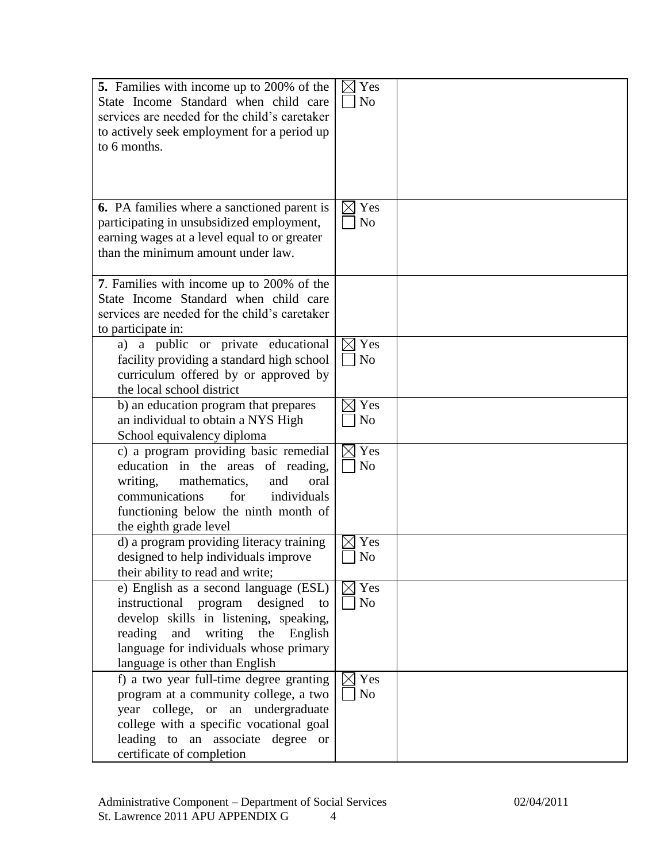| 5. Families with income up to 200% of the<br>State Income Standard when child care<br>services are needed for the child's caretaker<br>to actively seek employment for a period up<br>to 6 months.                                                 | Yes<br>$\boxtimes$<br>N <sub>o</sub> |  |
|----------------------------------------------------------------------------------------------------------------------------------------------------------------------------------------------------------------------------------------------------|--------------------------------------|--|
| <b>6.</b> PA families where a sanctioned parent is<br>participating in unsubsidized employment,<br>earning wages at a level equal to or greater<br>than the minimum amount under law.                                                              | Yes<br>$\boxtimes$<br>N <sub>o</sub> |  |
| 7. Families with income up to 200% of the<br>State Income Standard when child care<br>services are needed for the child's caretaker<br>to participate in:                                                                                          |                                      |  |
| a) a public or private educational<br>facility providing a standard high school<br>curriculum offered by or approved by<br>the local school district                                                                                               | Yes<br>$\boxtimes$<br>No             |  |
| b) an education program that prepares<br>an individual to obtain a NYS High<br>School equivalency diploma                                                                                                                                          | Yes<br>N <sub>o</sub>                |  |
| c) a program providing basic remedial<br>education in the areas of reading,<br>writing,<br>mathematics,<br>and<br>oral<br>for<br>individuals<br>communications<br>functioning below the ninth month of<br>the eighth grade level                   | $\boxtimes$ Yes<br>No                |  |
| d) a program providing literacy training<br>designed to help individuals improve<br>their ability to read and write;                                                                                                                               | Yes<br>N <sub>0</sub>                |  |
| e) English as a second language (ESL)<br>instructional program designed<br>to<br>develop skills in listening, speaking,<br>reading<br>writing<br>and<br>the<br>English<br>language for individuals whose primary<br>language is other than English | $\boxtimes$ Yes<br>No                |  |
| f) a two year full-time degree granting<br>program at a community college, a two<br>year college, or an undergraduate<br>college with a specific vocational goal<br>leading to an associate degree or<br>certificate of completion                 | Yes<br>No                            |  |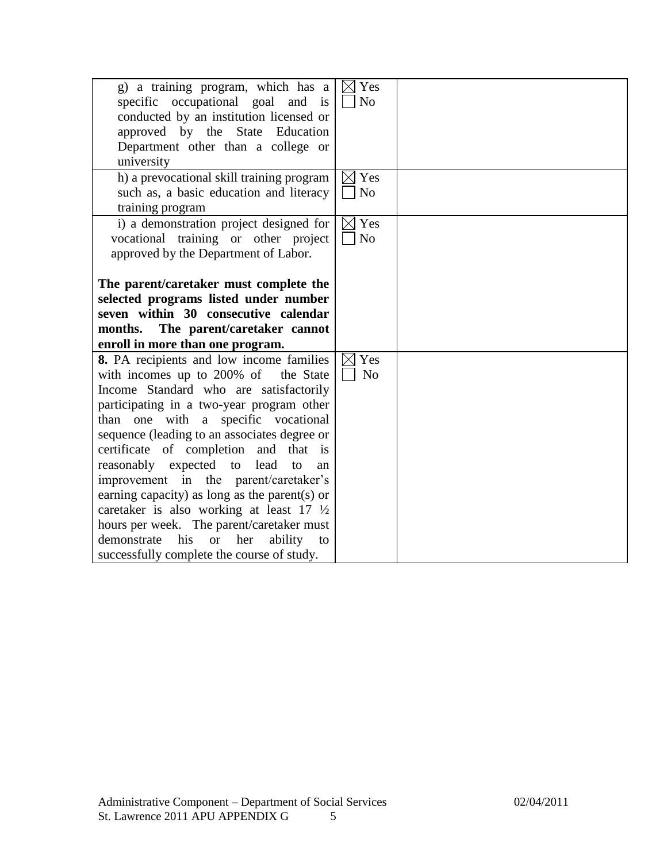| g) a training program, which has a<br>specific occupational goal and is<br>conducted by an institution licensed or<br>approved by the State Education<br>Department other than a college or<br>university                                                                                                                                                                                                                                                                                                                                                                                                                                                    | $\boxtimes$ Yes<br>N <sub>o</sub> |  |
|--------------------------------------------------------------------------------------------------------------------------------------------------------------------------------------------------------------------------------------------------------------------------------------------------------------------------------------------------------------------------------------------------------------------------------------------------------------------------------------------------------------------------------------------------------------------------------------------------------------------------------------------------------------|-----------------------------------|--|
| h) a prevocational skill training program<br>such as, a basic education and literacy<br>training program                                                                                                                                                                                                                                                                                                                                                                                                                                                                                                                                                     | $\boxtimes$ Yes<br>N <sub>o</sub> |  |
| i) a demonstration project designed for<br>vocational training or other project<br>approved by the Department of Labor.                                                                                                                                                                                                                                                                                                                                                                                                                                                                                                                                      | $\boxtimes$ Yes<br>No             |  |
| The parent/caretaker must complete the<br>selected programs listed under number<br>seven within 30 consecutive calendar<br>The parent/caretaker cannot<br>months.<br>enroll in more than one program.                                                                                                                                                                                                                                                                                                                                                                                                                                                        |                                   |  |
| 8. PA recipients and low income families<br>with incomes up to 200% of<br>the State<br>Income Standard who are satisfactorily<br>participating in a two-year program other<br>than one with a specific vocational<br>sequence (leading to an associates degree or<br>certificate of completion and that is<br>reasonably expected to lead<br>to<br>an<br>improvement in the parent/caretaker's<br>earning capacity) as long as the parent(s) or<br>caretaker is also working at least $17 \frac{1}{2}$<br>hours per week. The parent/caretaker must<br>demonstrate<br>his<br>her<br><b>or</b><br>ability<br>to<br>successfully complete the course of study. | $\boxtimes$ Yes<br>N <sub>o</sub> |  |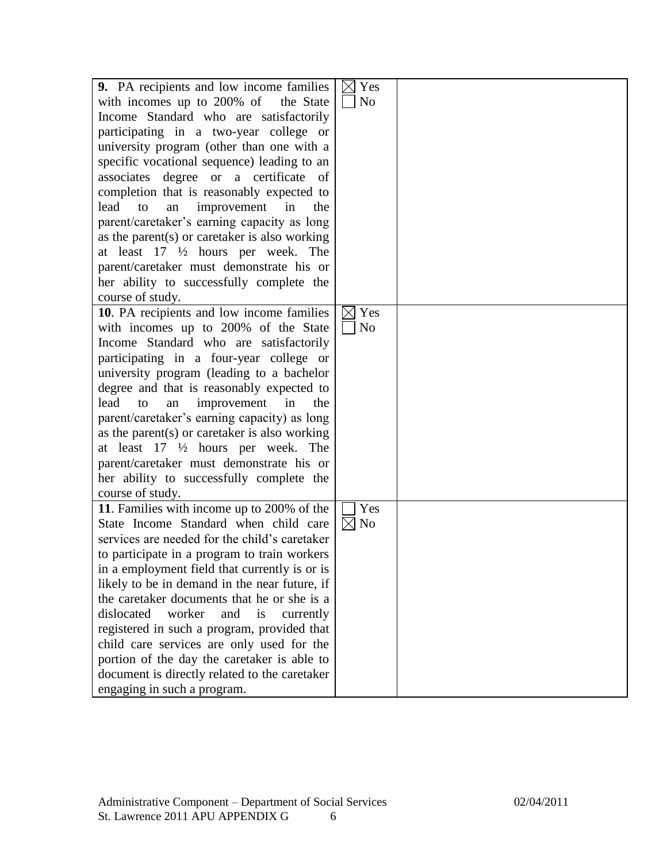| 9. PA recipients and low income families         | $\boxtimes$ Yes |  |
|--------------------------------------------------|-----------------|--|
|                                                  |                 |  |
| with incomes up to 200% of the State             | N <sub>o</sub>  |  |
| Income Standard who are satisfactorily           |                 |  |
| participating in a two-year college or           |                 |  |
| university program (other than one with a        |                 |  |
| specific vocational sequence) leading to an      |                 |  |
| associates degree or a certificate of            |                 |  |
| completion that is reasonably expected to        |                 |  |
| lead<br>improvement<br>in<br>the<br>to<br>an     |                 |  |
| parent/caretaker's earning capacity as long      |                 |  |
| as the parent $(s)$ or caretaker is also working |                 |  |
| at least $17 \frac{1}{2}$ hours per week. The    |                 |  |
| parent/caretaker must demonstrate his or         |                 |  |
| her ability to successfully complete the         |                 |  |
| course of study.                                 |                 |  |
| 10. PA recipients and low income families        | Yes<br>IXI      |  |
| with incomes up to 200% of the State             | N <sub>0</sub>  |  |
| Income Standard who are satisfactorily           |                 |  |
| participating in a four-year college or          |                 |  |
| university program (leading to a bachelor        |                 |  |
| degree and that is reasonably expected to        |                 |  |
|                                                  |                 |  |
| lead<br>improvement<br>in<br>the<br>to<br>an     |                 |  |
| parent/caretaker's earning capacity) as long     |                 |  |
| as the parent $(s)$ or caretaker is also working |                 |  |
| at least 17 1/2 hours per week. The              |                 |  |
| parent/caretaker must demonstrate his or         |                 |  |
| her ability to successfully complete the         |                 |  |
| course of study.                                 |                 |  |
| 11. Families with income up to 200% of the       | Yes             |  |
| State Income Standard when child care            | $\boxtimes$ No  |  |
| services are needed for the child's caretaker    |                 |  |
| to participate in a program to train workers     |                 |  |
| in a employment field that currently is or is    |                 |  |
| likely to be in demand in the near future, if    |                 |  |
| the caretaker documents that he or she is a      |                 |  |
| dislocated<br>worker<br>and<br>is<br>currently   |                 |  |
| registered in such a program, provided that      |                 |  |
| child care services are only used for the        |                 |  |
| portion of the day the caretaker is able to      |                 |  |
| document is directly related to the caretaker    |                 |  |
| engaging in such a program.                      |                 |  |
|                                                  |                 |  |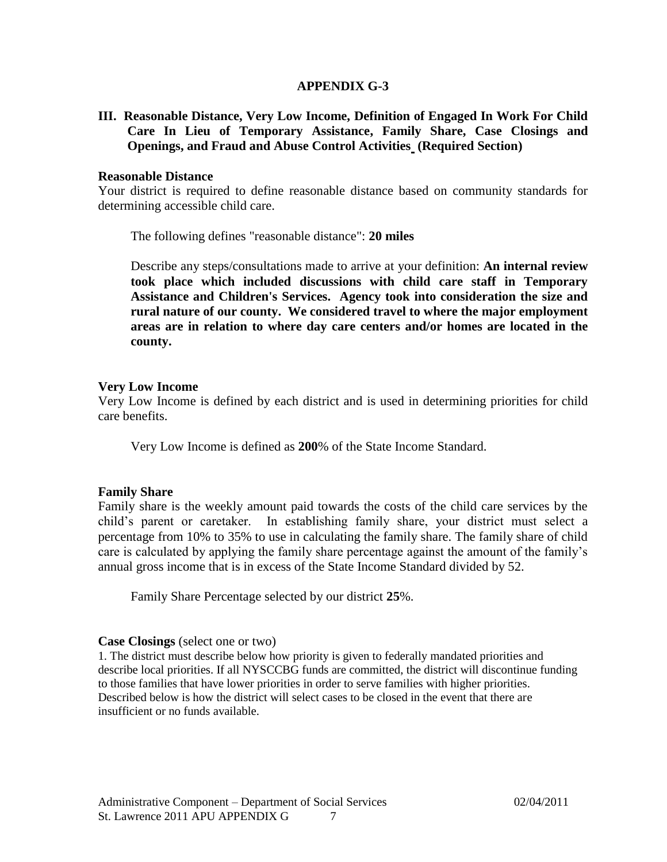### **APPENDIX G-3**

**III. Reasonable Distance, Very Low Income, Definition of Engaged In Work For Child Care In Lieu of Temporary Assistance, Family Share, Case Closings and Openings, and Fraud and Abuse Control Activities (Required Section)**

### **Reasonable Distance**

Your district is required to define reasonable distance based on community standards for determining accessible child care.

The following defines "reasonable distance": **20 miles**

Describe any steps/consultations made to arrive at your definition: **An internal review took place which included discussions with child care staff in Temporary Assistance and Children's Services. Agency took into consideration the size and rural nature of our county. We considered travel to where the major employment areas are in relation to where day care centers and/or homes are located in the county.**

### **Very Low Income**

Very Low Income is defined by each district and is used in determining priorities for child care benefits.

Very Low Income is defined as **200**% of the State Income Standard.

#### **Family Share**

Family share is the weekly amount paid towards the costs of the child care services by the child's parent or caretaker. In establishing family share, your district must select a percentage from 10% to 35% to use in calculating the family share. The family share of child care is calculated by applying the family share percentage against the amount of the family's annual gross income that is in excess of the State Income Standard divided by 52.

Family Share Percentage selected by our district **25**%.

#### **Case Closings** (select one or two)

1. The district must describe below how priority is given to federally mandated priorities and describe local priorities. If all NYSCCBG funds are committed, the district will discontinue funding to those families that have lower priorities in order to serve families with higher priorities. Described below is how the district will select cases to be closed in the event that there are insufficient or no funds available.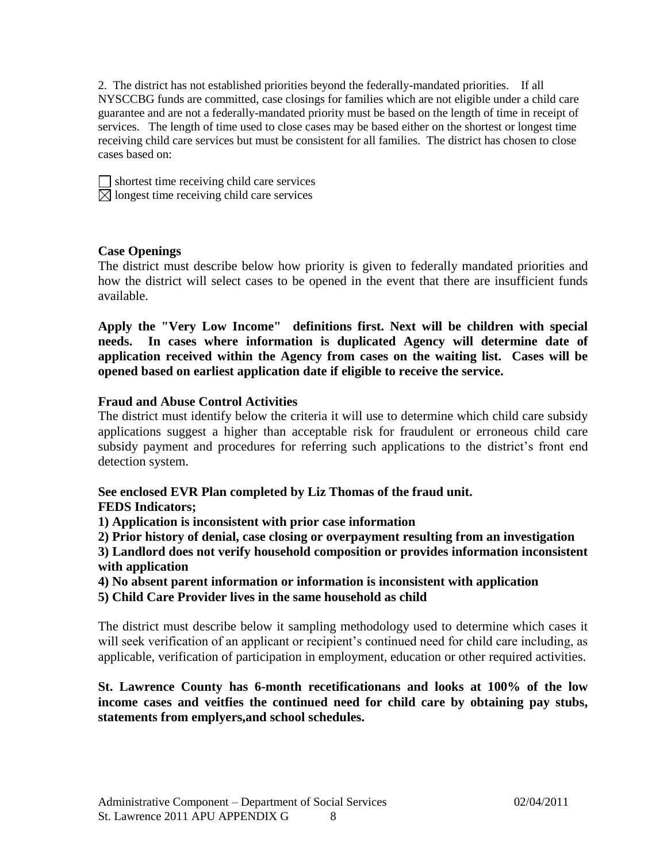2. The district has not established priorities beyond the federally-mandated priorities. If all NYSCCBG funds are committed, case closings for families which are not eligible under a child care guarantee and are not a federally-mandated priority must be based on the length of time in receipt of services. The length of time used to close cases may be based either on the shortest or longest time receiving child care services but must be consistent for all families. The district has chosen to close cases based on:

 $\Box$  shortest time receiving child care services  $\boxtimes$  longest time receiving child care services

# **Case Openings**

The district must describe below how priority is given to federally mandated priorities and how the district will select cases to be opened in the event that there are insufficient funds available.

**Apply the "Very Low Income" definitions first. Next will be children with special needs. In cases where information is duplicated Agency will determine date of application received within the Agency from cases on the waiting list. Cases will be opened based on earliest application date if eligible to receive the service.**

### **Fraud and Abuse Control Activities**

The district must identify below the criteria it will use to determine which child care subsidy applications suggest a higher than acceptable risk for fraudulent or erroneous child care subsidy payment and procedures for referring such applications to the district's front end detection system.

# **See enclosed EVR Plan completed by Liz Thomas of the fraud unit.**

### **FEDS Indicators;**

**1) Application is inconsistent with prior case information**

**2) Prior history of denial, case closing or overpayment resulting from an investigation**

**3) Landlord does not verify household composition or provides information inconsistent with application**

**4) No absent parent information or information is inconsistent with application**

**5) Child Care Provider lives in the same household as child**

The district must describe below it sampling methodology used to determine which cases it will seek verification of an applicant or recipient's continued need for child care including, as applicable, verification of participation in employment, education or other required activities.

# **St. Lawrence County has 6-month recetificationans and looks at 100% of the low income cases and veitfies the continued need for child care by obtaining pay stubs, statements from emplyers,and school schedules.**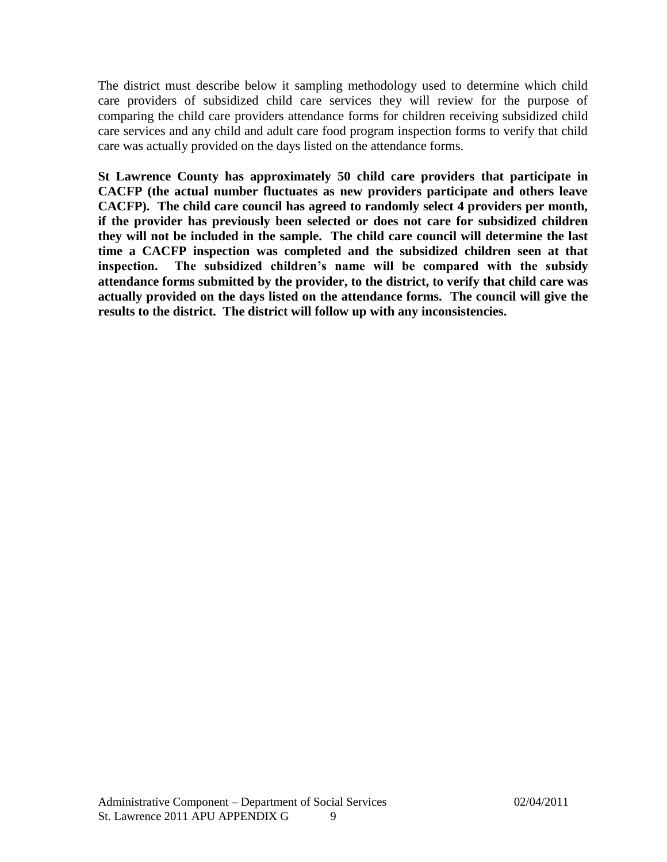The district must describe below it sampling methodology used to determine which child care providers of subsidized child care services they will review for the purpose of comparing the child care providers attendance forms for children receiving subsidized child care services and any child and adult care food program inspection forms to verify that child care was actually provided on the days listed on the attendance forms.

**St Lawrence County has approximately 50 child care providers that participate in CACFP (the actual number fluctuates as new providers participate and others leave CACFP). The child care council has agreed to randomly select 4 providers per month, if the provider has previously been selected or does not care for subsidized children they will not be included in the sample. The child care council will determine the last time a CACFP inspection was completed and the subsidized children seen at that inspection. The subsidized children's name will be compared with the subsidy attendance forms submitted by the provider, to the district, to verify that child care was actually provided on the days listed on the attendance forms. The council will give the results to the district. The district will follow up with any inconsistencies.**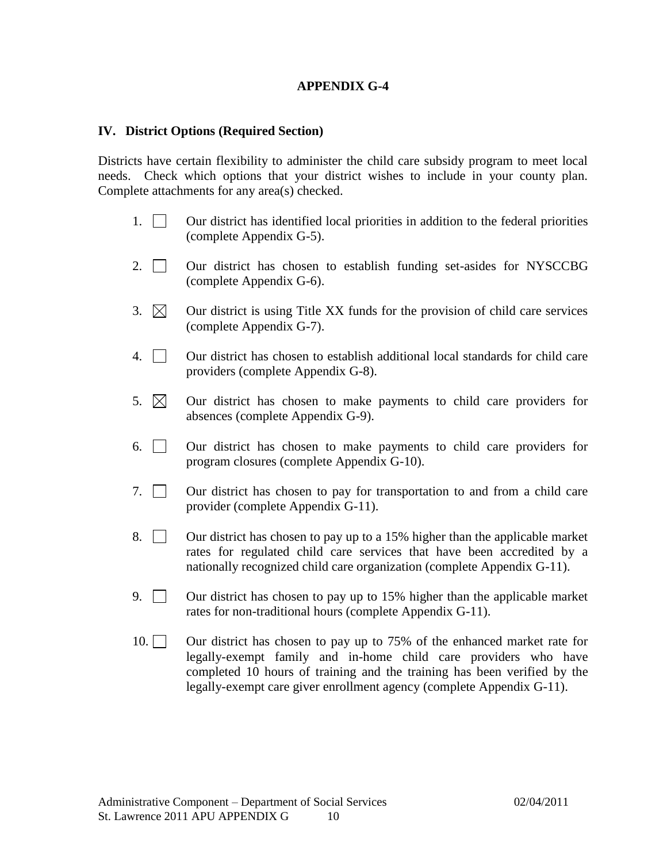# **APPENDIX G-4**

### **IV. District Options (Required Section)**

Districts have certain flexibility to administer the child care subsidy program to meet local needs. Check which options that your district wishes to include in your county plan. Complete attachments for any area(s) checked.

- 1. Our district has identified local priorities in addition to the federal priorities (complete Appendix G-5).
- 2.  $\Box$  Our district has chosen to establish funding set-asides for NYSCCBG (complete Appendix G-6).
- 3.  $\boxtimes$  Our district is using Title XX funds for the provision of child care services (complete Appendix G-7).
- 4. Our district has chosen to establish additional local standards for child care providers (complete Appendix G-8).
- 5.  $\boxtimes$  Our district has chosen to make payments to child care providers for absences (complete Appendix G-9).
- 6. Our district has chosen to make payments to child care providers for program closures (complete Appendix G-10).
- 7. Our district has chosen to pay for transportation to and from a child care provider (complete Appendix G-11).
- 8.  $\Box$  Our district has chosen to pay up to a 15% higher than the applicable market rates for regulated child care services that have been accredited by a nationally recognized child care organization (complete Appendix G-11).
- 9.  $\Box$  Our district has chosen to pay up to 15% higher than the applicable market rates for non-traditional hours (complete Appendix G-11).
- 10. Our district has chosen to pay up to 75% of the enhanced market rate for legally-exempt family and in-home child care providers who have completed 10 hours of training and the training has been verified by the legally-exempt care giver enrollment agency (complete Appendix G-11).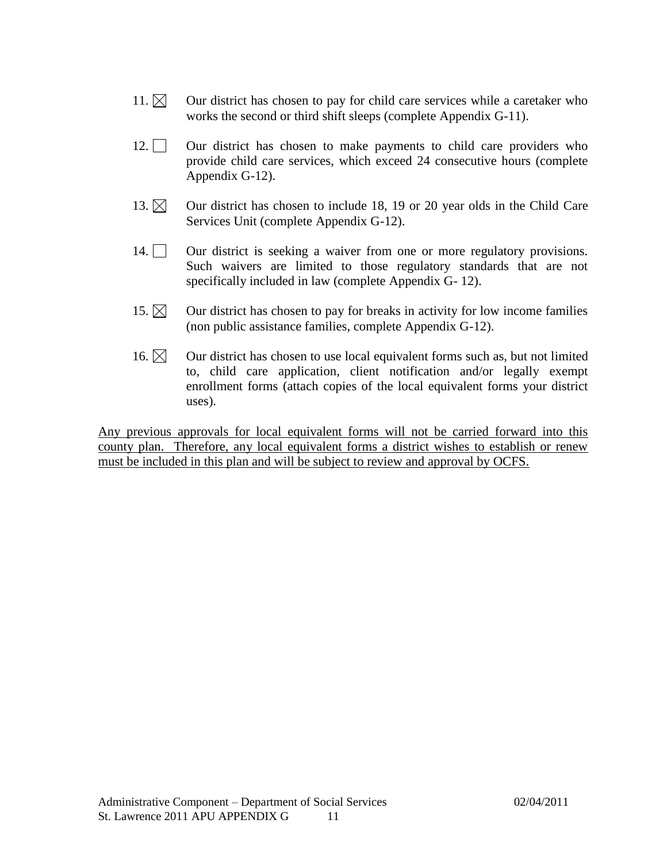- 11.  $\boxtimes$  Our district has chosen to pay for child care services while a caretaker who works the second or third shift sleeps (complete Appendix G-11).
- 12.  $\Box$  Our district has chosen to make payments to child care providers who provide child care services, which exceed 24 consecutive hours (complete Appendix G-12).
- 13.  $\boxtimes$  Our district has chosen to include 18, 19 or 20 year olds in the Child Care Services Unit (complete Appendix G-12).
- 14. Our district is seeking a waiver from one or more regulatory provisions. Such waivers are limited to those regulatory standards that are not specifically included in law (complete Appendix G- 12).
- 15.  $\boxtimes$  Our district has chosen to pay for breaks in activity for low income families (non public assistance families, complete Appendix G-12).
- 16.  $\boxtimes$  Our district has chosen to use local equivalent forms such as, but not limited to, child care application, client notification and/or legally exempt enrollment forms (attach copies of the local equivalent forms your district uses).

Any previous approvals for local equivalent forms will not be carried forward into this county plan. Therefore, any local equivalent forms a district wishes to establish or renew must be included in this plan and will be subject to review and approval by OCFS.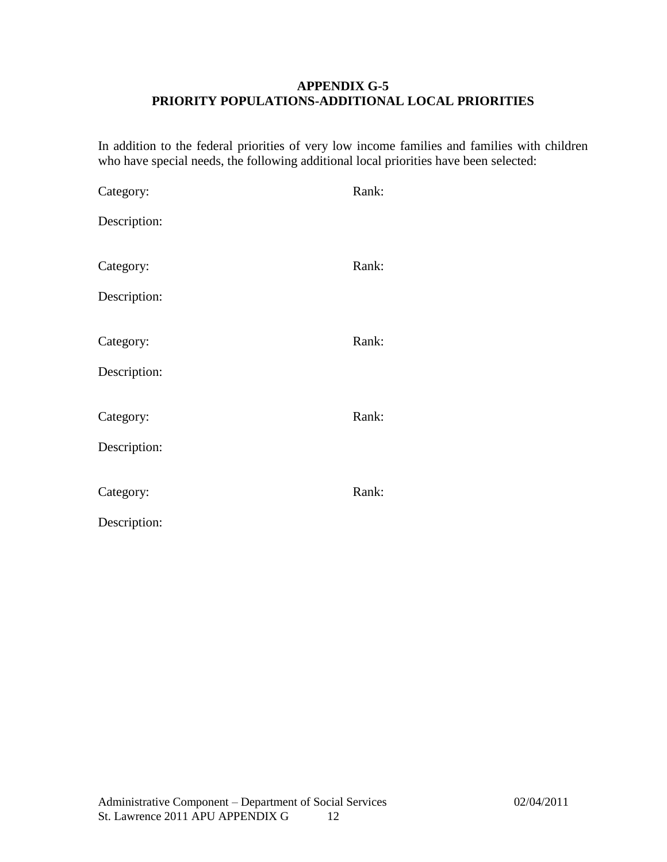# **APPENDIX G-5 PRIORITY POPULATIONS-ADDITIONAL LOCAL PRIORITIES**

In addition to the federal priorities of very low income families and families with children who have special needs, the following additional local priorities have been selected:

| Category:    | Rank: |
|--------------|-------|
| Description: |       |
|              |       |
| Category:    | Rank: |
| Description: |       |
|              |       |
| Category:    | Rank: |
| Description: |       |
|              |       |
| Category:    | Rank: |
| Description: |       |
|              |       |
| Category:    | Rank: |
| Description: |       |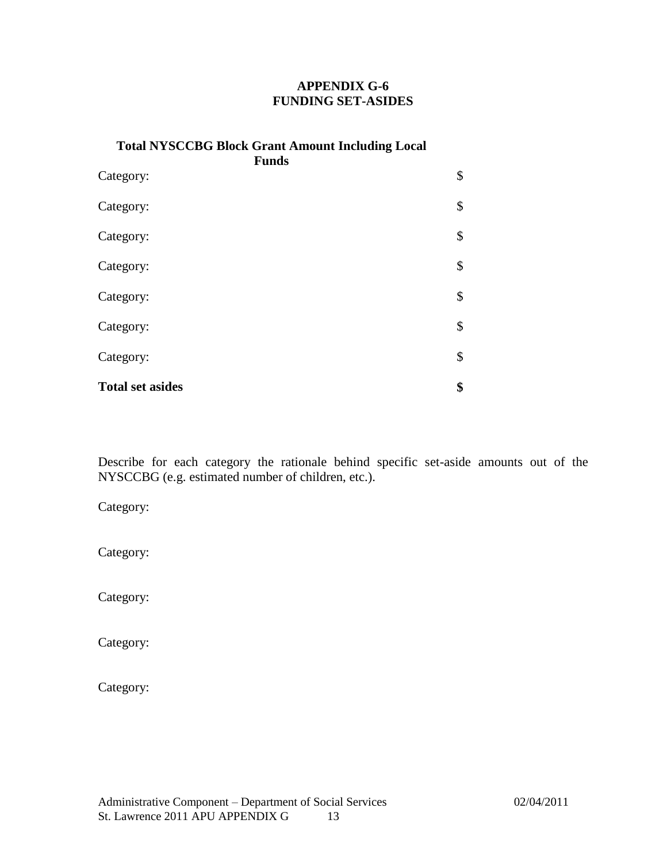# **APPENDIX G-6 FUNDING SET-ASIDES**

| <b>Total NYSCCBG Block Grant Amount Including Local</b><br><b>Funds</b> |    |  |
|-------------------------------------------------------------------------|----|--|
| Category:                                                               | \$ |  |
| Category:                                                               | \$ |  |
| Category:                                                               | \$ |  |
| Category:                                                               | \$ |  |
| Category:                                                               | \$ |  |
| Category:                                                               | \$ |  |
| Category:                                                               | \$ |  |
| <b>Total set asides</b>                                                 | \$ |  |

Describe for each category the rationale behind specific set-aside amounts out of the NYSCCBG (e.g. estimated number of children, etc.).

Category:

Category:

Category:

Category:

Category: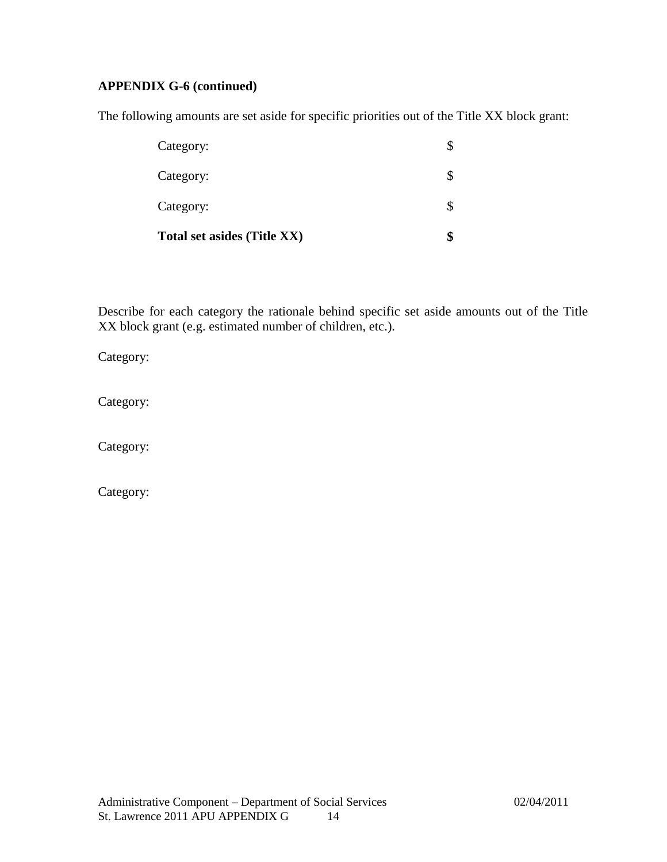# **APPENDIX G-6 (continued)**

The following amounts are set aside for specific priorities out of the Title XX block grant:

| Total set asides (Title XX) |  |
|-----------------------------|--|
| Category:                   |  |
| Category:                   |  |
| Category:                   |  |

Describe for each category the rationale behind specific set aside amounts out of the Title XX block grant (e.g. estimated number of children, etc.).

Category:

Category:

Category:

Category: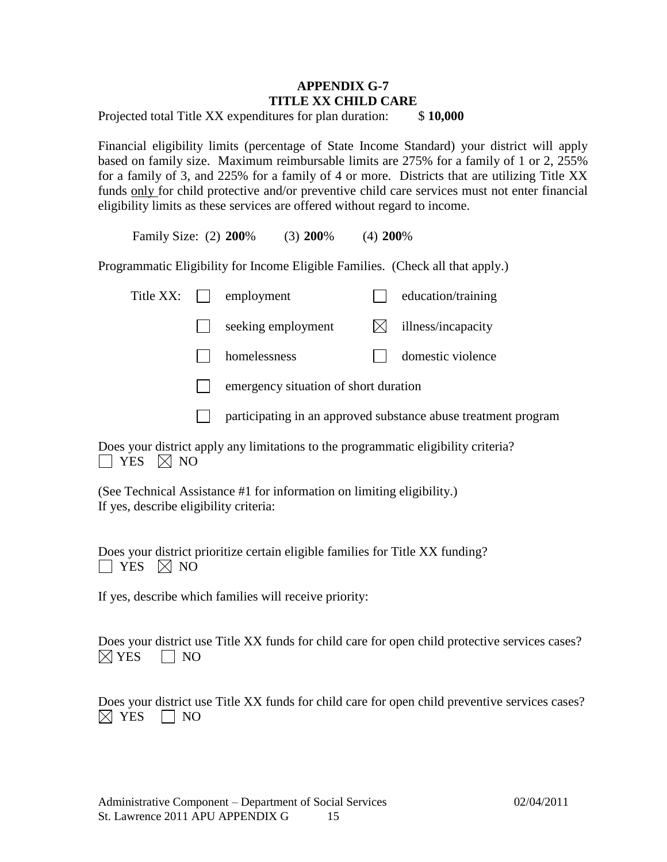# **APPENDIX G-7 TITLE XX CHILD CARE**

Projected total Title XX expenditures for plan duration: \$ **10,000**

Financial eligibility limits (percentage of State Income Standard) your district will apply based on family size. Maximum reimbursable limits are 275% for a family of 1 or 2, 255% for a family of 3, and 225% for a family of 4 or more. Districts that are utilizing Title XX funds only for child protective and/or preventive child care services must not enter financial eligibility limits as these services are offered without regard to income.

Family Size: (2) **200**% (3) **200**% (4) **200**%

Programmatic Eligibility for Income Eligible Families. (Check all that apply.)

| Title XX: | employment                            | education/training |
|-----------|---------------------------------------|--------------------|
|           | seeking employment                    | illness/incapacity |
|           | homelessness                          | domestic violence  |
|           | emergency situation of short duration |                    |
|           |                                       |                    |

 $\mathbf{1}$ participating in an approved substance abuse treatment program

Does your district apply any limitations to the programmatic eligibility criteria?  $\Box$  YES  $\boxtimes$  NO

(See Technical Assistance #1 for information on limiting eligibility.) If yes, describe eligibility criteria:

Does your district prioritize certain eligible families for Title XX funding?  $\Box$  YES  $\boxtimes$  NO

If yes, describe which families will receive priority:

Does your district use Title XX funds for child care for open child protective services cases?  $\boxtimes$  YES  $\Box$  NO

Does your district use Title XX funds for child care for open child preventive services cases?  $\boxtimes$  YES  $\Box$  NO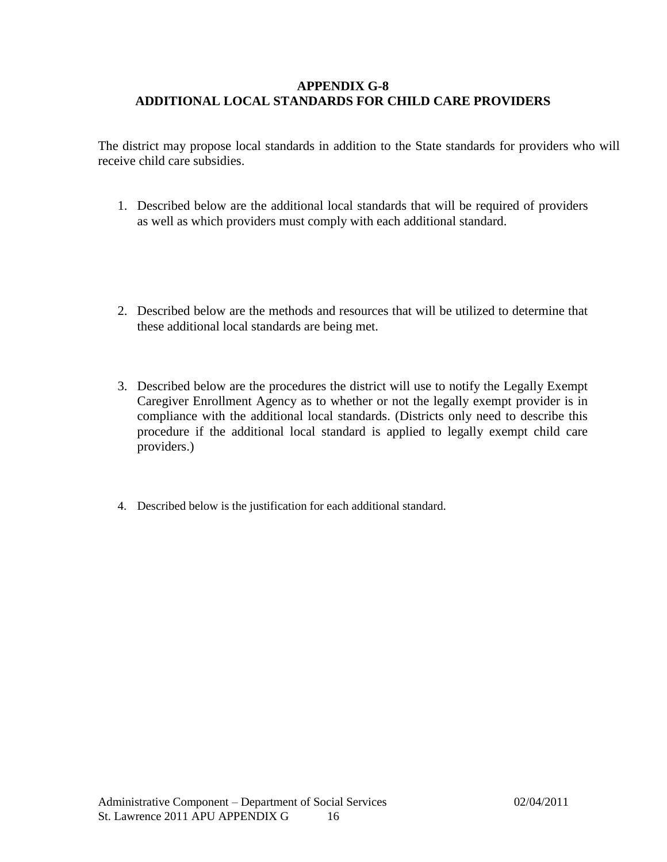# **APPENDIX G-8 ADDITIONAL LOCAL STANDARDS FOR CHILD CARE PROVIDERS**

The district may propose local standards in addition to the State standards for providers who will receive child care subsidies.

- 1. Described below are the additional local standards that will be required of providers as well as which providers must comply with each additional standard.
- 2. Described below are the methods and resources that will be utilized to determine that these additional local standards are being met.
- 3. Described below are the procedures the district will use to notify the Legally Exempt Caregiver Enrollment Agency as to whether or not the legally exempt provider is in compliance with the additional local standards. (Districts only need to describe this procedure if the additional local standard is applied to legally exempt child care providers.)
- 4. Described below is the justification for each additional standard.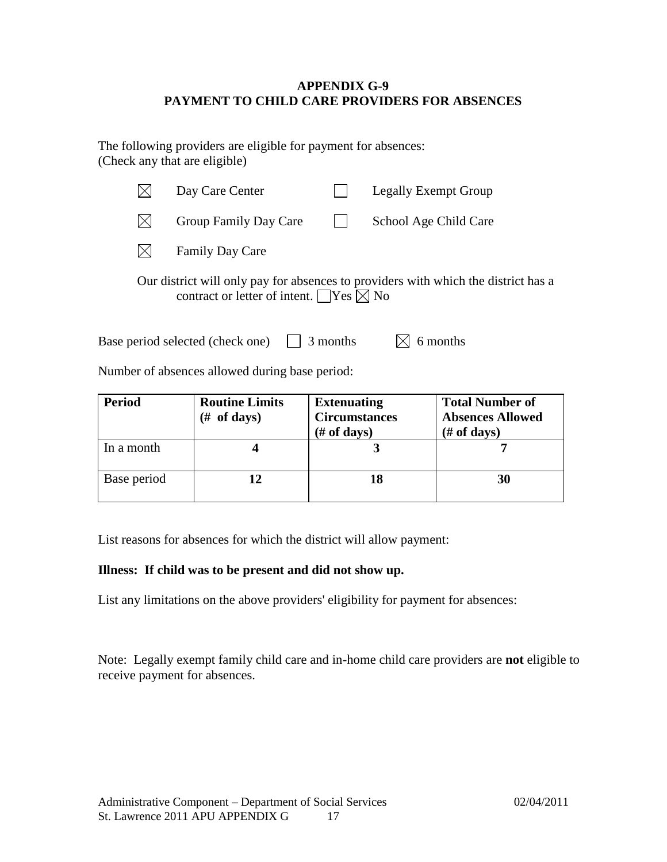# **APPENDIX G-9 PAYMENT TO CHILD CARE PROVIDERS FOR ABSENCES**

The following providers are eligible for payment for absences: (Check any that are eligible)

|                                                                                                                                               | Day Care Center        |  | <b>Legally Exempt Group</b> |  |
|-----------------------------------------------------------------------------------------------------------------------------------------------|------------------------|--|-----------------------------|--|
| $\mathbb{X}$                                                                                                                                  | Group Family Day Care  |  | School Age Child Care       |  |
| $\mathsf{IX}$                                                                                                                                 | <b>Family Day Care</b> |  |                             |  |
| Our district will only pay for absences to providers with which the district has a<br>contract or letter of intent. $\Box$ Yes $\boxtimes$ No |                        |  |                             |  |

Base period selected (check one)  $\Box$  3 months  $\Box$  6 months

Number of absences allowed during base period:

| <b>Period</b> | <b>Routine Limits</b><br>of days)<br>(# | <b>Extenuating</b><br><b>Circumstances</b><br>$(\# of days)$ | <b>Total Number of</b><br><b>Absences Allowed</b><br>$#$ of days) |
|---------------|-----------------------------------------|--------------------------------------------------------------|-------------------------------------------------------------------|
| In a month    |                                         |                                                              |                                                                   |
| Base period   |                                         | 18                                                           | 30                                                                |

List reasons for absences for which the district will allow payment:

### **Illness: If child was to be present and did not show up.**

List any limitations on the above providers' eligibility for payment for absences:

Note: Legally exempt family child care and in-home child care providers are **not** eligible to receive payment for absences.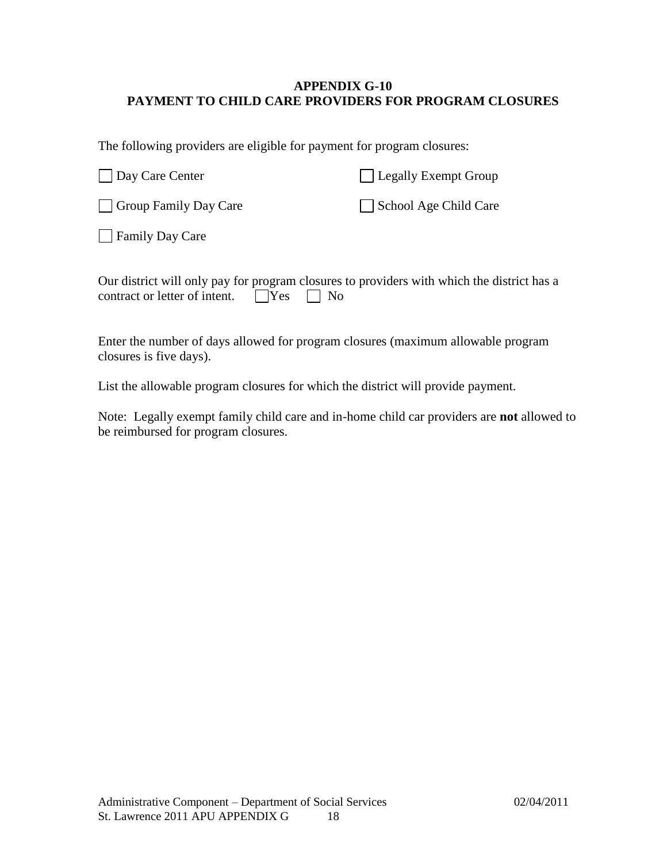# **APPENDIX G-10 PAYMENT TO CHILD CARE PROVIDERS FOR PROGRAM CLOSURES**

The following providers are eligible for payment for program closures:

| Day Care Center              | Legally Exempt Group  |
|------------------------------|-----------------------|
| <b>Group Family Day Care</b> | School Age Child Care |
| Family Day Care              |                       |

| Our district will only pay for program closures to providers with which the district has a |  |  |  |
|--------------------------------------------------------------------------------------------|--|--|--|
| contract or letter of intent. $\Box$ Yes $\Box$ No                                         |  |  |  |

Enter the number of days allowed for program closures (maximum allowable program closures is five days).

List the allowable program closures for which the district will provide payment.

Note: Legally exempt family child care and in-home child car providers are **not** allowed to be reimbursed for program closures.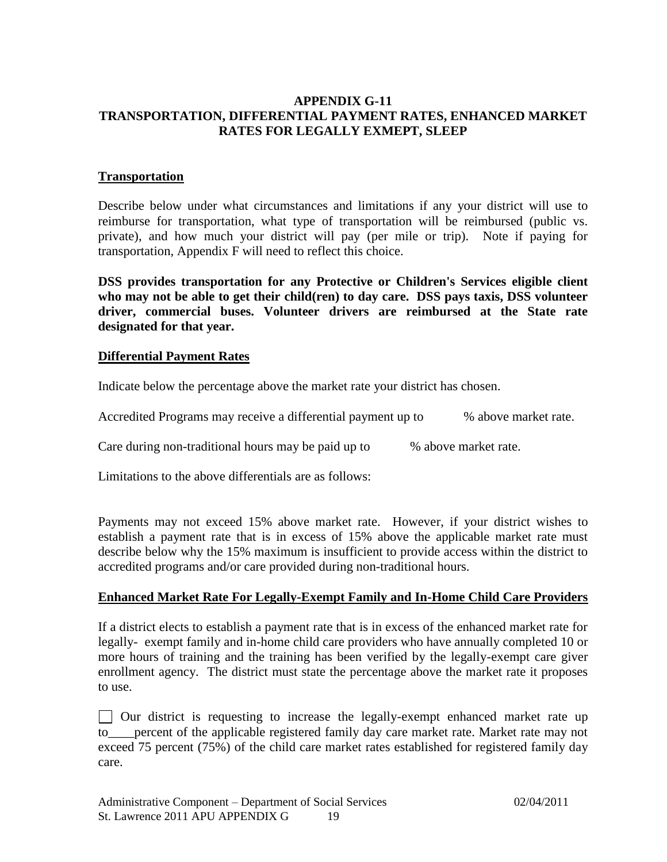# **APPENDIX G-11 TRANSPORTATION, DIFFERENTIAL PAYMENT RATES, ENHANCED MARKET RATES FOR LEGALLY EXMEPT, SLEEP**

# **Transportation**

Describe below under what circumstances and limitations if any your district will use to reimburse for transportation, what type of transportation will be reimbursed (public vs. private), and how much your district will pay (per mile or trip). Note if paying for transportation, Appendix F will need to reflect this choice.

**DSS provides transportation for any Protective or Children's Services eligible client who may not be able to get their child(ren) to day care. DSS pays taxis, DSS volunteer driver, commercial buses. Volunteer drivers are reimbursed at the State rate designated for that year.**

### **Differential Payment Rates**

Indicate below the percentage above the market rate your district has chosen.

Accredited Programs may receive a differential payment up to % above market rate.

Care during non-traditional hours may be paid up to % above market rate.

Limitations to the above differentials are as follows:

Payments may not exceed 15% above market rate. However, if your district wishes to establish a payment rate that is in excess of 15% above the applicable market rate must describe below why the 15% maximum is insufficient to provide access within the district to accredited programs and/or care provided during non-traditional hours.

### **Enhanced Market Rate For Legally-Exempt Family and In-Home Child Care Providers**

If a district elects to establish a payment rate that is in excess of the enhanced market rate for legally- exempt family and in-home child care providers who have annually completed 10 or more hours of training and the training has been verified by the legally-exempt care giver enrollment agency. The district must state the percentage above the market rate it proposes to use.

Our district is requesting to increase the legally-exempt enhanced market rate up to percent of the applicable registered family day care market rate. Market rate may not exceed 75 percent (75%) of the child care market rates established for registered family day care.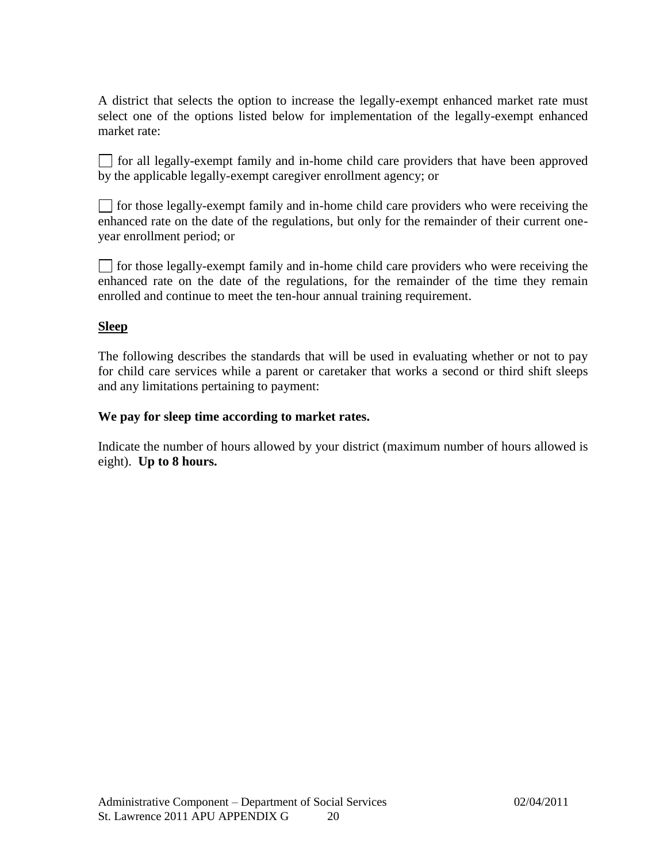A district that selects the option to increase the legally-exempt enhanced market rate must select one of the options listed below for implementation of the legally-exempt enhanced market rate:

 $\Box$  for all legally-exempt family and in-home child care providers that have been approved by the applicable legally-exempt caregiver enrollment agency; or

for those legally-exempt family and in-home child care providers who were receiving the enhanced rate on the date of the regulations, but only for the remainder of their current oneyear enrollment period; or

 $\Box$  for those legally-exempt family and in-home child care providers who were receiving the enhanced rate on the date of the regulations, for the remainder of the time they remain enrolled and continue to meet the ten-hour annual training requirement.

# **Sleep**

The following describes the standards that will be used in evaluating whether or not to pay for child care services while a parent or caretaker that works a second or third shift sleeps and any limitations pertaining to payment:

### **We pay for sleep time according to market rates.**

Indicate the number of hours allowed by your district (maximum number of hours allowed is eight). **Up to 8 hours.**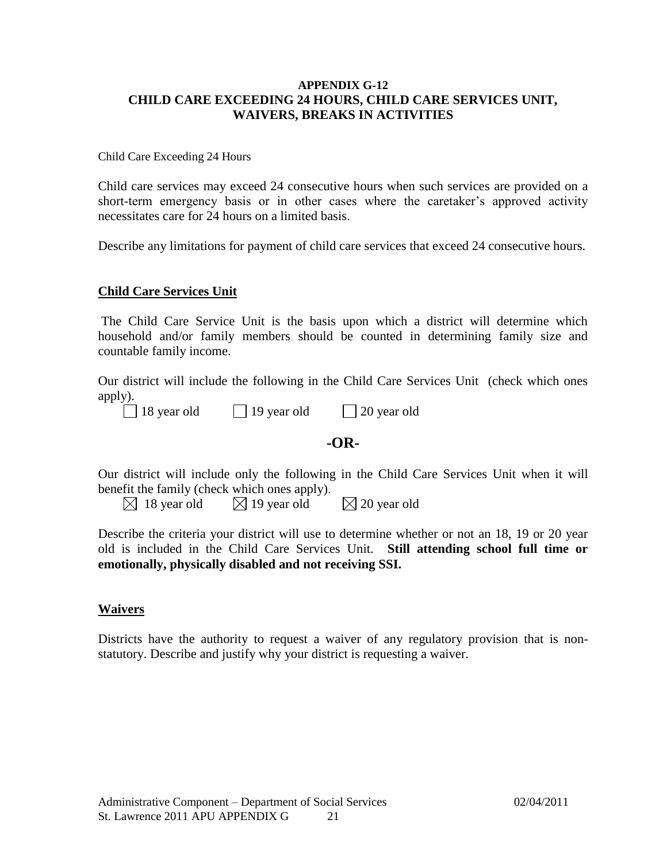### **APPENDIX G-12 CHILD CARE EXCEEDING 24 HOURS, CHILD CARE SERVICES UNIT, WAIVERS, BREAKS IN ACTIVITIES**

Child Care Exceeding 24 Hours

Child care services may exceed 24 consecutive hours when such services are provided on a short-term emergency basis or in other cases where the caretaker's approved activity necessitates care for 24 hours on a limited basis.

Describe any limitations for payment of child care services that exceed 24 consecutive hours.

### **Child Care Services Unit**

The Child Care Service Unit is the basis upon which a district will determine which household and/or family members should be counted in determining family size and countable family income.

Our district will include the following in the Child Care Services Unit (check which ones apply).

|  | 18 year old |  |
|--|-------------|--|

18 year old 19 year old 20 year old

# **-OR-**

Our district will include only the following in the Child Care Services Unit when it will benefit the family (check which ones apply).

 $\boxtimes$  18 year old  $\boxtimes$  19 year old  $\boxtimes$  20 year old

Describe the criteria your district will use to determine whether or not an 18, 19 or 20 year old is included in the Child Care Services Unit. **Still attending school full time or emotionally, physically disabled and not receiving SSI.**

### **Waivers**

Districts have the authority to request a waiver of any regulatory provision that is nonstatutory. Describe and justify why your district is requesting a waiver.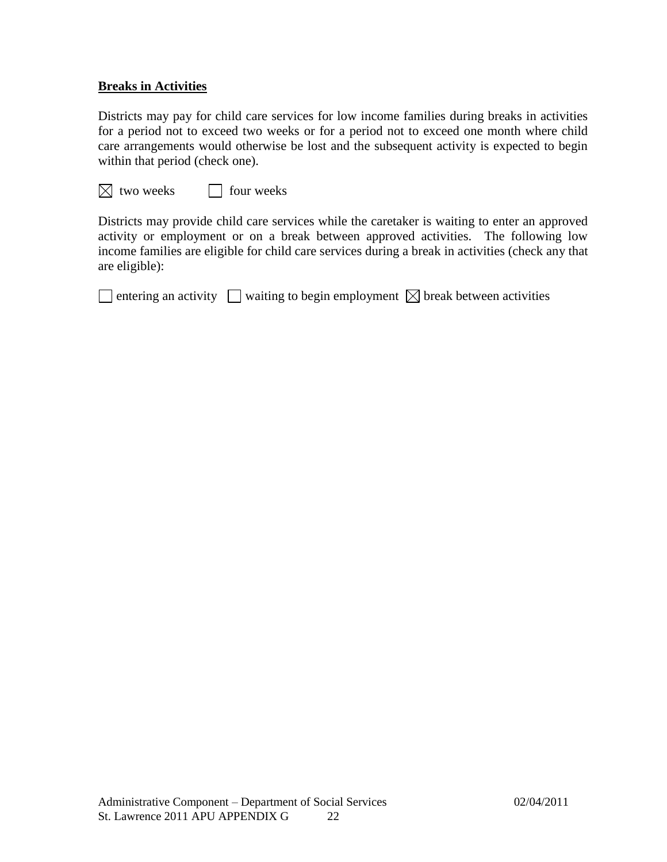# **Breaks in Activities**

Districts may pay for child care services for low income families during breaks in activities for a period not to exceed two weeks or for a period not to exceed one month where child care arrangements would otherwise be lost and the subsequent activity is expected to begin within that period (check one).

 $\boxtimes$  two weeks  $\Box$  four weeks

Districts may provide child care services while the caretaker is waiting to enter an approved activity or employment or on a break between approved activities. The following low income families are eligible for child care services during a break in activities (check any that are eligible):

 $\Box$  entering an activity  $\Box$  waiting to begin employment  $\boxtimes$  break between activities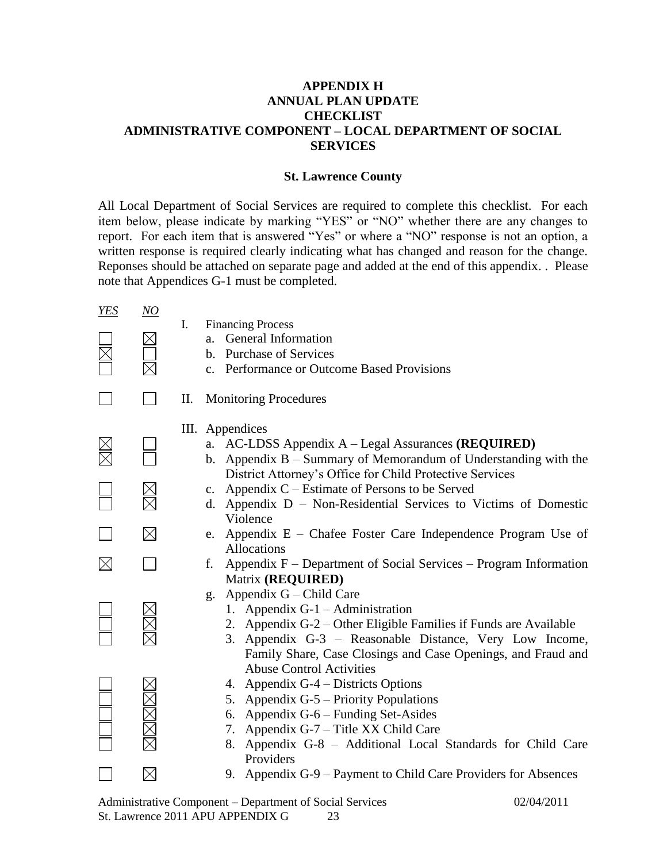# **APPENDIX H ANNUAL PLAN UPDATE CHECKLIST ADMINISTRATIVE COMPONENT – LOCAL DEPARTMENT OF SOCIAL SERVICES**

### **St. Lawrence County**

All Local Department of Social Services are required to complete this checklist. For each item below, please indicate by marking "YES" or "NO" whether there are any changes to report. For each item that is answered "Yes" or where a "NO" response is not an option, a written response is required clearly indicating what has changed and reason for the change. Reponses should be attached on separate page and added at the end of this appendix. . Please note that Appendices G-1 must be completed.

| <b>YES</b>  | $\overline{NO}$ |                                                                                                           |
|-------------|-----------------|-----------------------------------------------------------------------------------------------------------|
|             |                 | I.<br><b>Financing Process</b><br>General Information<br>a <sub>z</sub>                                   |
|             |                 | b. Purchase of Services                                                                                   |
|             |                 | c. Performance or Outcome Based Provisions                                                                |
|             |                 | П.<br><b>Monitoring Procedures</b>                                                                        |
|             |                 | III. Appendices                                                                                           |
|             |                 | a. AC-LDSS Appendix A – Legal Assurances (REQUIRED)                                                       |
|             |                 | b. Appendix $B -$ Summary of Memorandum of Understanding with the                                         |
|             |                 | District Attorney's Office for Child Protective Services<br>Appendix C – Estimate of Persons to be Served |
|             |                 | $c_{\cdot}$<br>Appendix D – Non-Residential Services to Victims of Domestic<br>d.                         |
|             |                 | Violence                                                                                                  |
|             | $\boxtimes$     | e. Appendix E - Chafee Foster Care Independence Program Use of                                            |
|             |                 | <b>Allocations</b>                                                                                        |
| $\boxtimes$ |                 | Appendix F – Department of Social Services – Program Information<br>f.                                    |
|             |                 | Matrix (REQUIRED)<br>Appendix G – Child Care                                                              |
|             |                 | g.<br>1. Appendix $G-1$ – Administration                                                                  |
|             |                 | 2. Appendix G-2 – Other Eligible Families if Funds are Available                                          |
|             |                 | Appendix G-3 - Reasonable Distance, Very Low Income,<br>3.                                                |
|             |                 | Family Share, Case Closings and Case Openings, and Fraud and                                              |
|             |                 | <b>Abuse Control Activities</b>                                                                           |
|             |                 | 4. Appendix G-4 – Districts Options                                                                       |
|             |                 | Appendix G-5 – Priority Populations<br>5.<br>Appendix G-6 - Funding Set-Asides<br>6.                      |
|             |                 | 7. Appendix G-7 – Title XX Child Care                                                                     |
|             | MMMM            | 8. Appendix G-8 - Additional Local Standards for Child Care                                               |
|             |                 | Providers                                                                                                 |
|             |                 | 9. Appendix G-9 – Payment to Child Care Providers for Absences                                            |

Administrative Component – Department of Social Services 02/04/2011 St. Lawrence 2011 APU APPENDIX G 23